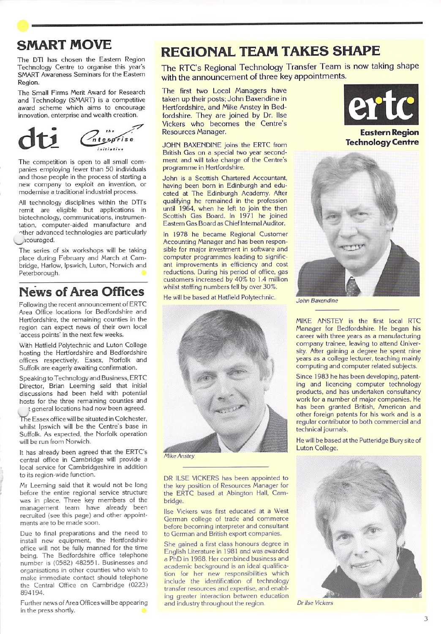

The DT! has chosen the Eastern Region Technology Centre to organise this year's SMART Awareness Seminars for the Eastern Region.

The Small Firms Merit Award for Research and Technology (SMART) is a competitive award scheme which aims to encourage innovation, enterprise and wealth creation.



The competition is open to all small com panies employing fewer than 50 individuals and those people in the process of starting a new company to exploit an invention, or modernise a traditional industrial process.

All technology disciplines within the DTl's remit are eligible but applications in biotechnology, communications, instrumen tation, computer-aided manufacture and other advanced technologies are particularly ^^icouraged.

The series of six workshops will be taking place during February and March at Cam bridge, Harlow, Ipswich, Luton, Norwich and Peterborough.

### News of Area Offices

Following the recent announcement of ERTC Area Office locations for Bedfordshire and Hertfordshire, the remaining counties in the region can expect news of their own local 'access points' in the next few weeks.

With Hatfield Polytechnic and Luton College hosting the Hertfordshire and Bedfordshire offices respectively, Essex, Norfolk and Suffolk are eagerly awaiting confirmation.

Speaking to Technology and Business. ERTC Director. Brian Leeming said that initial discussions had been held with potential hosts for the three remaining counties and t general locations had now been agreed.

The Essex office will be situated in Colchester, whilst Ipswich will be the Centre's base in Suffolk. As expected, the Norfolk operation will be run from Norwich.

It has already been agreed that the ERTC's central office in Cambridge will provide a local service for Cambridgeshire in addition to its region-wide function.

Mr Leeming said that it would not be long before the entire regional service structure was in place. Three key members of the management team have already been recruited (see this page) and other appoint ments are to be made soon.

Due to final preparations and the need to install new equipment, the Hertfordshire office will not be fully manned for the time being. The Bedfordshire office telephone number is (0582) 482551. Businesses and organisations in other counties who wish to make immediate contact should telephone the Central Office on Cambridge (0223) 894194.

Further news of Area Offices will be appearing in the press shortly.

## REGIONAL TEAM TAKES SHAPE

The RTC's Regional Technology Transfer Team is now taking shape with the announcement of three key appointments.

The first two Local Managers have taken up their posts: John Baxendine in Hertfordshire, and Mike Anstey in Bed fordshire. They are joined by Dr. Ilse Vickers who becomes the Centre's Resources Manager.

JOHN BAXENDINE joins the ERTC from British Gas on a special two year second ment and will take charge of the Centre's programme in Hertfordshire.

John is a Scottish Chartered Accountant, having been born in Edinburgh and edu cated at The Edinburgh Academy. After qualifying he remained in the profession until 1964. when he left to join the then Scottish Gas Board. In 1971 he joined Eastern Gas Board as Chief Internal Auditor.

In 1978 he became Regional Customer Accounting Manager and has been respon sible for major investment in software and computer programmes leading to signific ant improvements in efficiency and cost reductions. During his period of office, gas customers increased by 40% to 1.4 million whilst staffing numbers fell by over 30%.

He will be based at Hatfield Polytechnic.



**Mike Anstey** 

DR ILSE VICKERS has been appointed to the key position of Resources Manager for the ERTC based at Abington Hall, Cambridge.

Ilse Vickers was first educated at a West German college of trade and commerce before becoming interpreter and consultant to German and British export companies.

She gained a first class honours degree in English Literature in 1981 and was awarded a PhD in 1988. Her combined business and academic background is an ideal qualifica tion for her new responsibilities which include the identification of technology transfer resources and expertise, and enabl ing greater interaction between education and industry throughout the region. Dr llse Vickers



Eastern Region Technology Centre



John Baxendine

MIKE ANSTEY is the first local RTC Manager for Bedfordshire. He began his career with three years as a manufacturing company trainee, leaving to attend University. After gaining a degree he spent nine years as a college lecturer, teaching mainly computing and computer related subjects.

Since 1983 he has been developing, patent ing and licencing computer technology products, and has undertaken consultancy work for a number of major companies. He has been granted British. American and other foreign patents for his work and is a regular contributor to both commercial and technical journals.

He will be based at the Putteridge Bury site of Luton College.